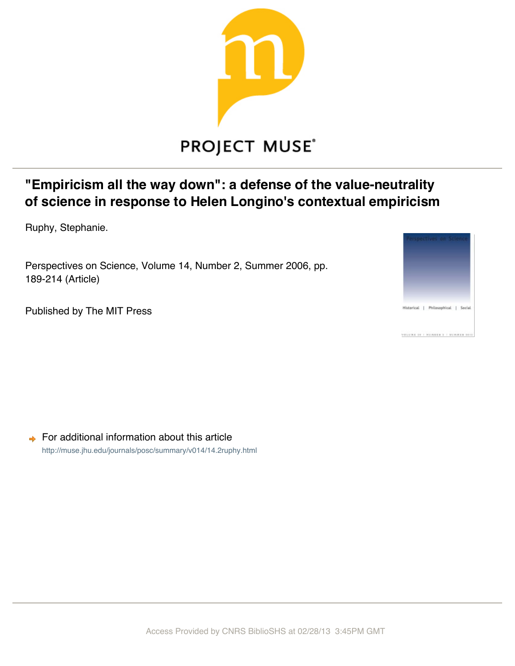

# **PROJECT MUSE®**

# **"Empiricism all the way down": a defense of the value-neutrality of science in response to Helen Longino's contextual empiricism**

Ruphy, Stephanie.

Perspectives on Science, Volume 14, Number 2, Summer 2006, pp. 189-214 (Article)

Published by The MIT Press



For additional information about this article  $\Rightarrow$ <http://muse.jhu.edu/journals/posc/summary/v014/14.2ruphy.html>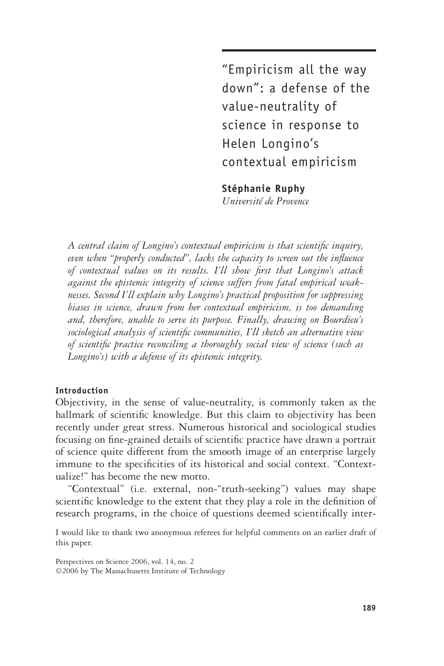"Empiricism all the way down": a defense of the value-neutrality of science in response to Helen Longino's contextual empiricism

**Stéphanie Ruphy** *Université de Provence*

*A central claim of Longino's contextual empiricism is that scientific inquiry, even when "properly conducted", lacks the capacity to screen out the influence of contextual values on its results. I'll show ªrst that Longino's attack against the epistemic integrity of science suffers from fatal empirical weaknesses. Second I'll explain why Longino's practical proposition for suppressing biases in science, drawn from her contextual empiricism, is too demanding and, therefore, unable to serve its purpose. Finally, drawing on Bourdieu's* sociological analysis of scientific communities, I'll sketch an alternative view of scientific practice reconciling a thoroughly social view of science (such as *Longino's) with a defense of its epistemic integrity.*

## **Introduction**

Objectivity, in the sense of value-neutrality, is commonly taken as the hallmark of scientific knowledge. But this claim to objectivity has been recently under great stress. Numerous historical and sociological studies focusing on fine-grained details of scientific practice have drawn a portrait of science quite different from the smooth image of an enterprise largely immune to the specificities of its historical and social context. "Contextualize!" has become the new motto.

"Contextual" (i.e. external, non-"truth-seeking") values may shape scientific knowledge to the extent that they play a role in the definition of research programs, in the choice of questions deemed scientifically inter-

I would like to thank two anonymous referees for helpful comments on an earlier draft of this paper.

Perspectives on Science 2006, vol. 14, no. 2 ©2006 by The Massachusetts Institute of Technology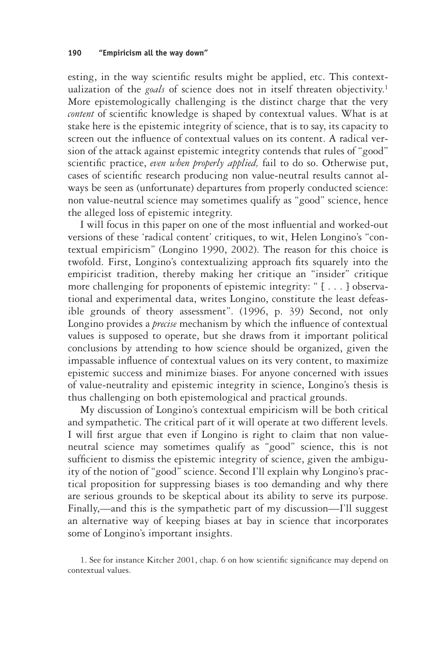esting, in the way scientific results might be applied, etc. This contextualization of the *goals* of science does not in itself threaten objectivity.<sup>1</sup> More epistemologically challenging is the distinct charge that the very *content* of scientific knowledge is shaped by contextual values. What is at stake here is the epistemic integrity of science, that is to say, its capacity to screen out the influence of contextual values on its content. A radical version of the attack against epistemic integrity contends that rules of "good" scientific practice, even when properly applied, fail to do so. Otherwise put, cases of scientific research producing non value-neutral results cannot always be seen as (unfortunate) departures from properly conducted science: non value-neutral science may sometimes qualify as "good" science, hence the alleged loss of epistemic integrity.

I will focus in this paper on one of the most influential and worked-out versions of these 'radical content' critiques, to wit, Helen Longino's "contextual empiricism" (Longino 1990, 2002). The reason for this choice is twofold. First, Longino's contextualizing approach fits squarely into the empiricist tradition, thereby making her critique an "insider" critique more challenging for proponents of epistemic integrity: " [ ...] observational and experimental data, writes Longino, constitute the least defeasible grounds of theory assessment". (1996, p. 39) Second, not only Longino provides a *precise* mechanism by which the influence of contextual values is supposed to operate, but she draws from it important political conclusions by attending to how science should be organized, given the impassable influence of contextual values on its very content, to maximize epistemic success and minimize biases. For anyone concerned with issues of value-neutrality and epistemic integrity in science, Longino's thesis is thus challenging on both epistemological and practical grounds.

My discussion of Longino's contextual empiricism will be both critical and sympathetic. The critical part of it will operate at two different levels. I will first argue that even if Longino is right to claim that non valueneutral science may sometimes qualify as "good" science, this is not sufficient to dismiss the epistemic integrity of science, given the ambiguity of the notion of "good" science. Second I'll explain why Longino's practical proposition for suppressing biases is too demanding and why there are serious grounds to be skeptical about its ability to serve its purpose. Finally,—and this is the sympathetic part of my discussion—I'll suggest an alternative way of keeping biases at bay in science that incorporates some of Longino's important insights.

1. See for instance Kitcher 2001, chap. 6 on how scientific significance may depend on contextual values.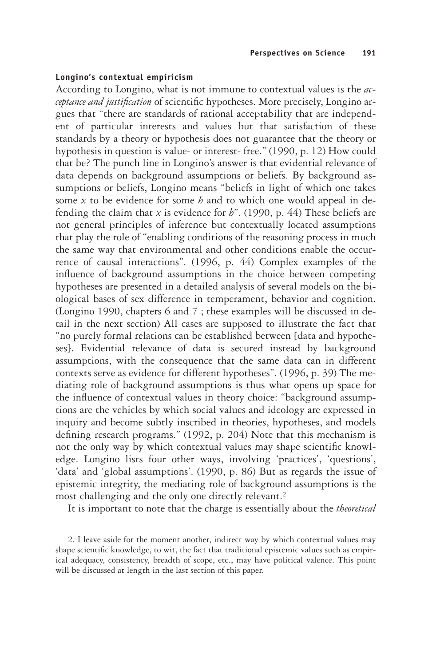#### **Longino's contextual empiricism**

According to Longino, what is not immune to contextual values is the *acceptance and justification* of scientific hypotheses. More precisely, Longino argues that "there are standards of rational acceptability that are independent of particular interests and values but that satisfaction of these standards by a theory or hypothesis does not guarantee that the theory or hypothesis in question is value- or interest- free." (1990, p. 12) How could that be? The punch line in Longino's answer is that evidential relevance of data depends on background assumptions or beliefs. By background assumptions or beliefs, Longino means "beliefs in light of which one takes some *x* to be evidence for some *h* and to which one would appeal in defending the claim that *x* is evidence for *h*". (1990, p. 44) These beliefs are not general principles of inference but contextually located assumptions that play the role of "enabling conditions of the reasoning process in much the same way that environmental and other conditions enable the occurrence of causal interactions". (1996, p. 44) Complex examples of the influence of background assumptions in the choice between competing hypotheses are presented in a detailed analysis of several models on the biological bases of sex difference in temperament, behavior and cognition. (Longino 1990, chapters 6 and 7 ; these examples will be discussed in detail in the next section) All cases are supposed to illustrate the fact that "no purely formal relations can be established between [data and hypotheses]. Evidential relevance of data is secured instead by background assumptions, with the consequence that the same data can in different contexts serve as evidence for different hypotheses". (1996, p. 39) The mediating role of background assumptions is thus what opens up space for the influence of contextual values in theory choice: "background assumptions are the vehicles by which social values and ideology are expressed in inquiry and become subtly inscribed in theories, hypotheses, and models defining research programs." (1992, p. 204) Note that this mechanism is not the only way by which contextual values may shape scientific knowledge. Longino lists four other ways, involving 'practices', 'questions', 'data' and 'global assumptions'. (1990, p. 86) But as regards the issue of epistemic integrity, the mediating role of background assumptions is the most challenging and the only one directly relevant.2

It is important to note that the charge is essentially about the *theoretical*

<sup>2.</sup> I leave aside for the moment another, indirect way by which contextual values may shape scientific knowledge, to wit, the fact that traditional epistemic values such as empirical adequacy, consistency, breadth of scope, etc., may have political valence. This point will be discussed at length in the last section of this paper.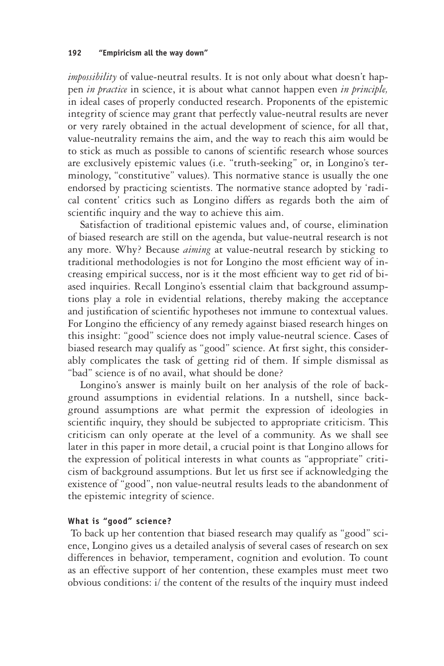*impossibility* of value-neutral results. It is not only about what doesn't happen *in practice* in science, it is about what cannot happen even *in principle,* in ideal cases of properly conducted research. Proponents of the epistemic integrity of science may grant that perfectly value-neutral results are never or very rarely obtained in the actual development of science, for all that, value-neutrality remains the aim, and the way to reach this aim would be to stick as much as possible to canons of scientific research whose sources are exclusively epistemic values (i.e. "truth-seeking" or, in Longino's terminology, "constitutive" values). This normative stance is usually the one endorsed by practicing scientists. The normative stance adopted by 'radical content' critics such as Longino differs as regards both the aim of scientific inquiry and the way to achieve this aim.

Satisfaction of traditional epistemic values and, of course, elimination of biased research are still on the agenda, but value-neutral research is not any more. Why? Because *aiming* at value-neutral research by sticking to traditional methodologies is not for Longino the most efficient way of increasing empirical success, nor is it the most efficient way to get rid of biased inquiries. Recall Longino's essential claim that background assumptions play a role in evidential relations, thereby making the acceptance and justification of scientific hypotheses not immune to contextual values. For Longino the efficiency of any remedy against biased research hinges on this insight: "good" science does not imply value-neutral science. Cases of biased research may qualify as "good" science. At first sight, this considerably complicates the task of getting rid of them. If simple dismissal as "bad" science is of no avail, what should be done?

Longino's answer is mainly built on her analysis of the role of background assumptions in evidential relations. In a nutshell, since background assumptions are what permit the expression of ideologies in scientific inquiry, they should be subjected to appropriate criticism. This criticism can only operate at the level of a community. As we shall see later in this paper in more detail, a crucial point is that Longino allows for the expression of political interests in what counts as "appropriate" criticism of background assumptions. But let us first see if acknowledging the existence of "good", non value-neutral results leads to the abandonment of the epistemic integrity of science.

#### **What is "good" science?**

To back up her contention that biased research may qualify as "good" science, Longino gives us a detailed analysis of several cases of research on sex differences in behavior, temperament, cognition and evolution. To count as an effective support of her contention, these examples must meet two obvious conditions: i/ the content of the results of the inquiry must indeed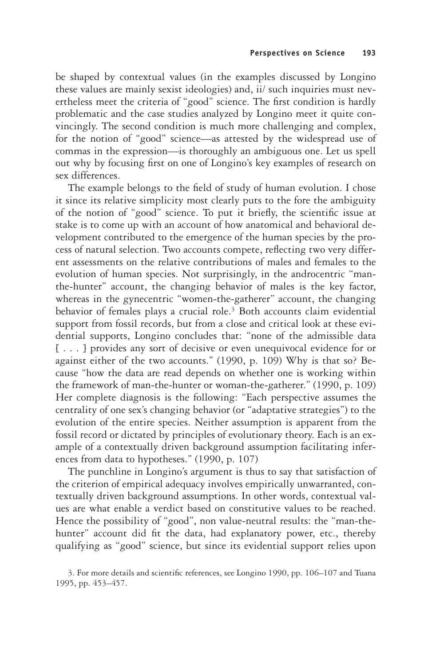be shaped by contextual values (in the examples discussed by Longino these values are mainly sexist ideologies) and, ii/ such inquiries must nevertheless meet the criteria of "good" science. The first condition is hardly problematic and the case studies analyzed by Longino meet it quite convincingly. The second condition is much more challenging and complex, for the notion of "good" science—as attested by the widespread use of commas in the expression—is thoroughly an ambiguous one. Let us spell out why by focusing first on one of Longino's key examples of research on sex differences.

The example belongs to the field of study of human evolution. I chose it since its relative simplicity most clearly puts to the fore the ambiguity of the notion of "good" science. To put it briefly, the scientific issue at stake is to come up with an account of how anatomical and behavioral development contributed to the emergence of the human species by the process of natural selection. Two accounts compete, reflecting two very different assessments on the relative contributions of males and females to the evolution of human species. Not surprisingly, in the androcentric "manthe-hunter" account, the changing behavior of males is the key factor, whereas in the gynecentric "women-the-gatherer" account, the changing behavior of females plays a crucial role.<sup>3</sup> Both accounts claim evidential support from fossil records, but from a close and critical look at these evidential supports, Longino concludes that: "none of the admissible data [...] provides any sort of decisive or even unequivocal evidence for or against either of the two accounts." (1990, p. 109) Why is that so? Because "how the data are read depends on whether one is working within the framework of man-the-hunter or woman-the-gatherer." (1990, p. 109) Her complete diagnosis is the following: "Each perspective assumes the centrality of one sex's changing behavior (or "adaptative strategies") to the evolution of the entire species. Neither assumption is apparent from the fossil record or dictated by principles of evolutionary theory. Each is an example of a contextually driven background assumption facilitating inferences from data to hypotheses." (1990, p. 107)

The punchline in Longino's argument is thus to say that satisfaction of the criterion of empirical adequacy involves empirically unwarranted, contextually driven background assumptions. In other words, contextual values are what enable a verdict based on constitutive values to be reached. Hence the possibility of "good", non value-neutral results: the "man-thehunter" account did fit the data, had explanatory power, etc., thereby qualifying as "good" science, but since its evidential support relies upon

<sup>3.</sup> For more details and scientific references, see Longino 1990, pp. 106–107 and Tuana 1995, pp. 453–457.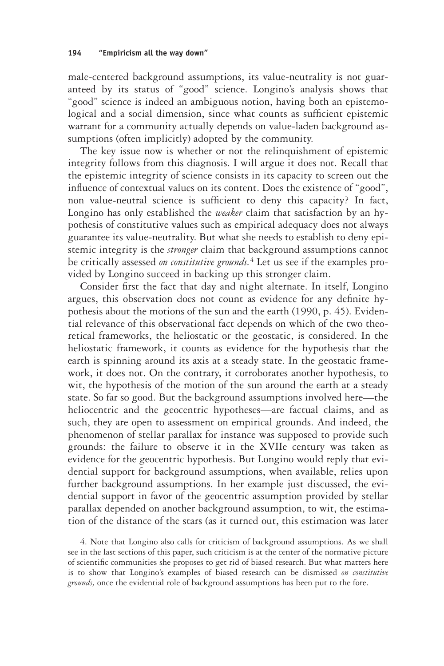male-centered background assumptions, its value-neutrality is not guaranteed by its status of "good" science. Longino's analysis shows that "good" science is indeed an ambiguous notion, having both an epistemological and a social dimension, since what counts as sufficient epistemic warrant for a community actually depends on value-laden background assumptions (often implicitly) adopted by the community.

The key issue now is whether or not the relinquishment of epistemic integrity follows from this diagnosis. I will argue it does not. Recall that the epistemic integrity of science consists in its capacity to screen out the influence of contextual values on its content. Does the existence of "good", non value-neutral science is sufficient to deny this capacity? In fact, Longino has only established the *weaker* claim that satisfaction by an hypothesis of constitutive values such as empirical adequacy does not always guarantee its value-neutrality. But what she needs to establish to deny epistemic integrity is the *stronger* claim that background assumptions cannot be critically assessed *on constitutive grounds.*<sup>4</sup> Let us see if the examples provided by Longino succeed in backing up this stronger claim.

Consider first the fact that day and night alternate. In itself, Longino argues, this observation does not count as evidence for any definite hypothesis about the motions of the sun and the earth (1990, p. 45). Evidential relevance of this observational fact depends on which of the two theoretical frameworks, the heliostatic or the geostatic, is considered. In the heliostatic framework, it counts as evidence for the hypothesis that the earth is spinning around its axis at a steady state. In the geostatic framework, it does not. On the contrary, it corroborates another hypothesis, to wit, the hypothesis of the motion of the sun around the earth at a steady state. So far so good. But the background assumptions involved here—the heliocentric and the geocentric hypotheses—are factual claims, and as such, they are open to assessment on empirical grounds. And indeed, the phenomenon of stellar parallax for instance was supposed to provide such grounds: the failure to observe it in the XVIIe century was taken as evidence for the geocentric hypothesis. But Longino would reply that evidential support for background assumptions, when available, relies upon further background assumptions. In her example just discussed, the evidential support in favor of the geocentric assumption provided by stellar parallax depended on another background assumption, to wit, the estimation of the distance of the stars (as it turned out, this estimation was later

4. Note that Longino also calls for criticism of background assumptions. As we shall see in the last sections of this paper, such criticism is at the center of the normative picture of scientific communities she proposes to get rid of biased research. But what matters here is to show that Longino's examples of biased research can be dismissed *on constitutive grounds,* once the evidential role of background assumptions has been put to the fore.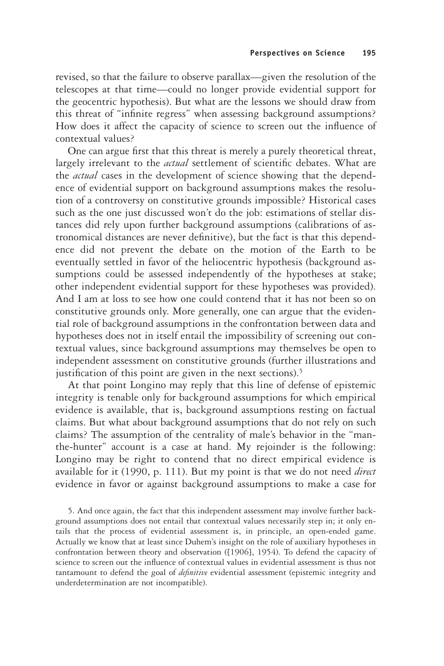revised, so that the failure to observe parallax—given the resolution of the telescopes at that time—could no longer provide evidential support for the geocentric hypothesis). But what are the lessons we should draw from this threat of "infinite regress" when assessing background assumptions? How does it affect the capacity of science to screen out the influence of contextual values?

One can argue first that this threat is merely a purely theoretical threat, largely irrelevant to the *actual* settlement of scientific debates. What are the *actual* cases in the development of science showing that the dependence of evidential support on background assumptions makes the resolution of a controversy on constitutive grounds impossible? Historical cases such as the one just discussed won't do the job: estimations of stellar distances did rely upon further background assumptions (calibrations of astronomical distances are never definitive), but the fact is that this dependence did not prevent the debate on the motion of the Earth to be eventually settled in favor of the heliocentric hypothesis (background assumptions could be assessed independently of the hypotheses at stake; other independent evidential support for these hypotheses was provided). And I am at loss to see how one could contend that it has not been so on constitutive grounds only. More generally, one can argue that the evidential role of background assumptions in the confrontation between data and hypotheses does not in itself entail the impossibility of screening out contextual values, since background assumptions may themselves be open to independent assessment on constitutive grounds (further illustrations and justification of this point are given in the next sections).<sup>5</sup>

At that point Longino may reply that this line of defense of epistemic integrity is tenable only for background assumptions for which empirical evidence is available, that is, background assumptions resting on factual claims. But what about background assumptions that do not rely on such claims? The assumption of the centrality of male's behavior in the "manthe-hunter" account is a case at hand. My rejoinder is the following: Longino may be right to contend that no direct empirical evidence is available for it (1990, p. 111). But my point is that we do not need *direct* evidence in favor or against background assumptions to make a case for

5. And once again, the fact that this independent assessment may involve further background assumptions does not entail that contextual values necessarily step in; it only entails that the process of evidential assessment is, in principle, an open-ended game. Actually we know that at least since Duhem's insight on the role of auxiliary hypotheses in confrontation between theory and observation ([1906], 1954). To defend the capacity of science to screen out the influence of contextual values in evidential assessment is thus not tantamount to defend the goal of *definitive* evidential assessment (epistemic integrity and underdetermination are not incompatible).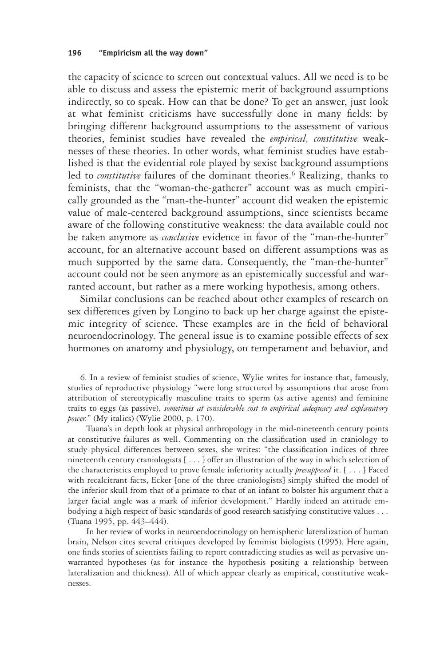the capacity of science to screen out contextual values. All we need is to be able to discuss and assess the epistemic merit of background assumptions indirectly, so to speak. How can that be done? To get an answer, just look at what feminist criticisms have successfully done in many fields: by bringing different background assumptions to the assessment of various theories, feminist studies have revealed the *empirical, constitutive* weaknesses of these theories. In other words, what feminist studies have established is that the evidential role played by sexist background assumptions led to *constitutive* failures of the dominant theories.<sup>6</sup> Realizing, thanks to feminists, that the "woman-the-gatherer" account was as much empirically grounded as the "man-the-hunter" account did weaken the epistemic value of male-centered background assumptions, since scientists became aware of the following constitutive weakness: the data available could not be taken anymore as *conclusive* evidence in favor of the "man-the-hunter" account, for an alternative account based on different assumptions was as much supported by the same data. Consequently, the "man-the-hunter" account could not be seen anymore as an epistemically successful and warranted account, but rather as a mere working hypothesis, among others.

Similar conclusions can be reached about other examples of research on sex differences given by Longino to back up her charge against the epistemic integrity of science. These examples are in the field of behavioral neuroendocrinology. The general issue is to examine possible effects of sex hormones on anatomy and physiology, on temperament and behavior, and

6. In a review of feminist studies of science, Wylie writes for instance that, famously, studies of reproductive physiology "were long structured by assumptions that arose from attribution of stereotypically masculine traits to sperm (as active agents) and feminine traits to eggs (as passive), *sometimes at considerable cost to empirical adequacy and explanatory power.*" (My italics) (Wylie 2000, p. 170).

Tuana's in depth look at physical anthropology in the mid-nineteenth century points at constitutive failures as well. Commenting on the classification used in craniology to study physical differences between sexes, she writes: "the classification indices of three nineteenth century craniologists [ ...] offer an illustration of the way in which selection of the characteristics employed to prove female inferiority actually *presupposed* it. [ . . . ] Faced with recalcitrant facts, Ecker [one of the three craniologists] simply shifted the model of the inferior skull from that of a primate to that of an infant to bolster his argument that a larger facial angle was a mark of inferior development." Hardly indeed an attitude embodying a high respect of basic standards of good research satisfying constitutive values... (Tuana 1995, pp. 443–444).

In her review of works in neuroendocrinology on hemispheric lateralization of human brain, Nelson cites several critiques developed by feminist biologists (1995). Here again, one finds stories of scientists failing to report contradicting studies as well as pervasive unwarranted hypotheses (as for instance the hypothesis positing a relationship between lateralization and thickness). All of which appear clearly as empirical, constitutive weaknesses.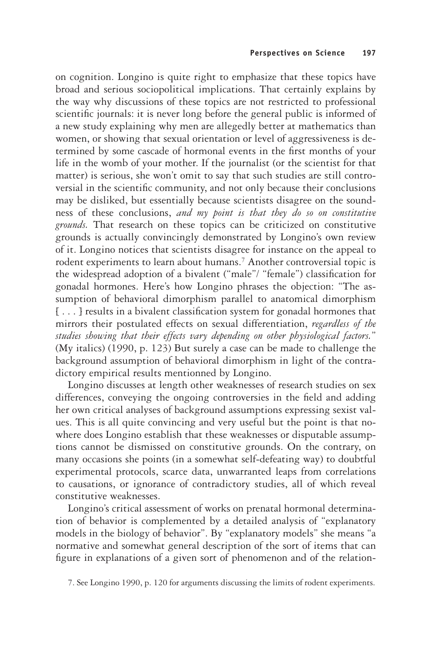on cognition. Longino is quite right to emphasize that these topics have broad and serious sociopolitical implications. That certainly explains by the way why discussions of these topics are not restricted to professional scientific journals: it is never long before the general public is informed of a new study explaining why men are allegedly better at mathematics than women, or showing that sexual orientation or level of aggressiveness is determined by some cascade of hormonal events in the first months of your life in the womb of your mother. If the journalist (or the scientist for that matter) is serious, she won't omit to say that such studies are still controversial in the scientific community, and not only because their conclusions may be disliked, but essentially because scientists disagree on the soundness of these conclusions, *and my point is that they do so on constitutive grounds.* That research on these topics can be criticized on constitutive grounds is actually convincingly demonstrated by Longino's own review of it. Longino notices that scientists disagree for instance on the appeal to rodent experiments to learn about humans.7 Another controversial topic is the widespread adoption of a bivalent ("male"/ "female") classification for gonadal hormones. Here's how Longino phrases the objection: "The assumption of behavioral dimorphism parallel to anatomical dimorphism  $[...]$  results in a bivalent classification system for gonadal hormones that mirrors their postulated effects on sexual differentiation, *regardless of the studies showing that their effects vary depending on other physiological factors.*" (My italics) (1990, p. 123) But surely a case can be made to challenge the background assumption of behavioral dimorphism in light of the contradictory empirical results mentionned by Longino.

Longino discusses at length other weaknesses of research studies on sex differences, conveying the ongoing controversies in the field and adding her own critical analyses of background assumptions expressing sexist values. This is all quite convincing and very useful but the point is that nowhere does Longino establish that these weaknesses or disputable assumptions cannot be dismissed on constitutive grounds. On the contrary, on many occasions she points (in a somewhat self-defeating way) to doubtful experimental protocols, scarce data, unwarranted leaps from correlations to causations, or ignorance of contradictory studies, all of which reveal constitutive weaknesses.

Longino's critical assessment of works on prenatal hormonal determination of behavior is complemented by a detailed analysis of "explanatory models in the biology of behavior". By "explanatory models" she means "a normative and somewhat general description of the sort of items that can figure in explanations of a given sort of phenomenon and of the relation-

7. See Longino 1990, p. 120 for arguments discussing the limits of rodent experiments.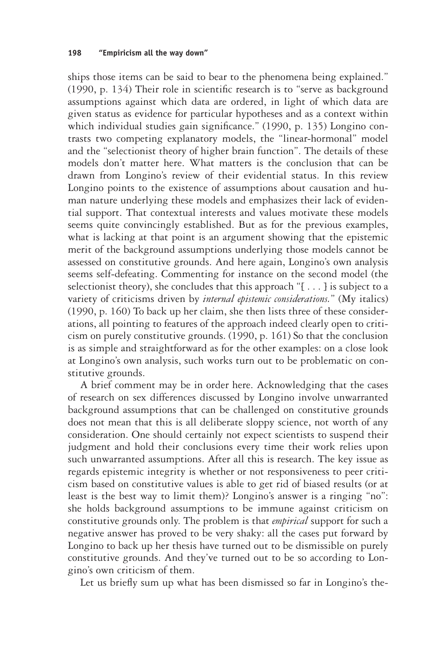ships those items can be said to bear to the phenomena being explained." (1990, p. 134) Their role in scientific research is to "serve as background assumptions against which data are ordered, in light of which data are given status as evidence for particular hypotheses and as a context within which individual studies gain significance." (1990, p. 135) Longino contrasts two competing explanatory models, the "linear-hormonal" model and the "selectionist theory of higher brain function". The details of these models don't matter here. What matters is the conclusion that can be drawn from Longino's review of their evidential status. In this review Longino points to the existence of assumptions about causation and human nature underlying these models and emphasizes their lack of evidential support. That contextual interests and values motivate these models seems quite convincingly established. But as for the previous examples, what is lacking at that point is an argument showing that the epistemic merit of the background assumptions underlying those models cannot be assessed on constitutive grounds. And here again, Longino's own analysis seems self-defeating. Commenting for instance on the second model (the selectionist theory), she concludes that this approach "[ . . . ] is subject to a variety of criticisms driven by *internal epistemic considerations.*" (My italics) (1990, p. 160) To back up her claim, she then lists three of these considerations, all pointing to features of the approach indeed clearly open to criticism on purely constitutive grounds. (1990, p. 161) So that the conclusion is as simple and straightforward as for the other examples: on a close look at Longino's own analysis, such works turn out to be problematic on constitutive grounds.

A brief comment may be in order here. Acknowledging that the cases of research on sex differences discussed by Longino involve unwarranted background assumptions that can be challenged on constitutive grounds does not mean that this is all deliberate sloppy science, not worth of any consideration. One should certainly not expect scientists to suspend their judgment and hold their conclusions every time their work relies upon such unwarranted assumptions. After all this is research. The key issue as regards epistemic integrity is whether or not responsiveness to peer criticism based on constitutive values is able to get rid of biased results (or at least is the best way to limit them)? Longino's answer is a ringing "no": she holds background assumptions to be immune against criticism on constitutive grounds only. The problem is that *empirical* support for such a negative answer has proved to be very shaky: all the cases put forward by Longino to back up her thesis have turned out to be dismissible on purely constitutive grounds. And they've turned out to be so according to Longino's own criticism of them.

Let us briefly sum up what has been dismissed so far in Longino's the-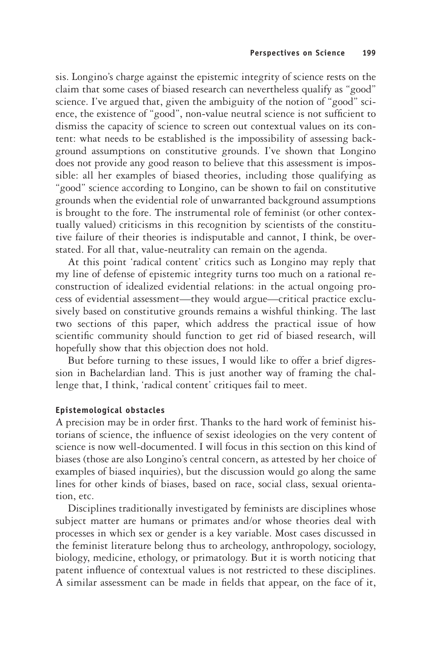sis. Longino's charge against the epistemic integrity of science rests on the claim that some cases of biased research can nevertheless qualify as "good" science. I've argued that, given the ambiguity of the notion of "good" science, the existence of "good", non-value neutral science is not sufficient to dismiss the capacity of science to screen out contextual values on its content: what needs to be established is the impossibility of assessing background assumptions on constitutive grounds. I've shown that Longino does not provide any good reason to believe that this assessment is impossible: all her examples of biased theories, including those qualifying as "good" science according to Longino, can be shown to fail on constitutive grounds when the evidential role of unwarranted background assumptions is brought to the fore. The instrumental role of feminist (or other contextually valued) criticisms in this recognition by scientists of the constitutive failure of their theories is indisputable and cannot, I think, be overstated. For all that, value-neutrality can remain on the agenda.

At this point 'radical content' critics such as Longino may reply that my line of defense of epistemic integrity turns too much on a rational reconstruction of idealized evidential relations: in the actual ongoing process of evidential assessment—they would argue—critical practice exclusively based on constitutive grounds remains a wishful thinking. The last two sections of this paper, which address the practical issue of how scientific community should function to get rid of biased research, will hopefully show that this objection does not hold.

But before turning to these issues, I would like to offer a brief digression in Bachelardian land. This is just another way of framing the challenge that, I think, 'radical content' critiques fail to meet.

#### **Epistemological obstacles**

A precision may be in order first. Thanks to the hard work of feminist historians of science, the influence of sexist ideologies on the very content of science is now well-documented. I will focus in this section on this kind of biases (those are also Longino's central concern, as attested by her choice of examples of biased inquiries), but the discussion would go along the same lines for other kinds of biases, based on race, social class, sexual orientation, etc.

Disciplines traditionally investigated by feminists are disciplines whose subject matter are humans or primates and/or whose theories deal with processes in which sex or gender is a key variable. Most cases discussed in the feminist literature belong thus to archeology, anthropology, sociology, biology, medicine, ethology, or primatology. But it is worth noticing that patent influence of contextual values is not restricted to these disciplines. A similar assessment can be made in fields that appear, on the face of it,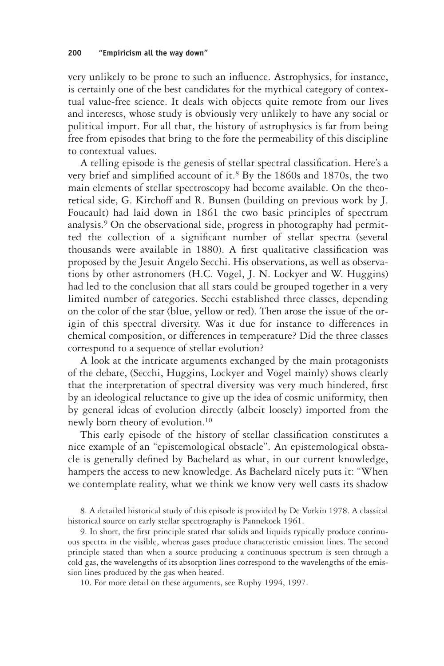very unlikely to be prone to such an influence. Astrophysics, for instance, is certainly one of the best candidates for the mythical category of contextual value-free science. It deals with objects quite remote from our lives and interests, whose study is obviously very unlikely to have any social or political import. For all that, the history of astrophysics is far from being free from episodes that bring to the fore the permeability of this discipline to contextual values.

A telling episode is the genesis of stellar spectral classification. Here's a very brief and simplified account of it.<sup>8</sup> By the 1860s and 1870s, the two main elements of stellar spectroscopy had become available. On the theoretical side, G. Kirchoff and R. Bunsen (building on previous work by J. Foucault) had laid down in 1861 the two basic principles of spectrum analysis.9 On the observational side, progress in photography had permitted the collection of a significant number of stellar spectra (several thousands were available in 1880). A first qualitative classification was proposed by the Jesuit Angelo Secchi. His observations, as well as observations by other astronomers (H.C. Vogel, J. N. Lockyer and W. Huggins) had led to the conclusion that all stars could be grouped together in a very limited number of categories. Secchi established three classes, depending on the color of the star (blue, yellow or red). Then arose the issue of the origin of this spectral diversity. Was it due for instance to differences in chemical composition, or differences in temperature? Did the three classes correspond to a sequence of stellar evolution?

A look at the intricate arguments exchanged by the main protagonists of the debate, (Secchi, Huggins, Lockyer and Vogel mainly) shows clearly that the interpretation of spectral diversity was very much hindered, first by an ideological reluctance to give up the idea of cosmic uniformity, then by general ideas of evolution directly (albeit loosely) imported from the newly born theory of evolution.10

This early episode of the history of stellar classification constitutes a nice example of an "epistemological obstacle". An epistemological obstacle is generally defined by Bachelard as what, in our current knowledge, hampers the access to new knowledge. As Bachelard nicely puts it: "When we contemplate reality, what we think we know very well casts its shadow

8. A detailed historical study of this episode is provided by De Vorkin 1978. A classical historical source on early stellar spectrography is Pannekoek 1961.

9. In short, the first principle stated that solids and liquids typically produce continuous spectra in the visible, whereas gases produce characteristic emission lines. The second principle stated than when a source producing a continuous spectrum is seen through a cold gas, the wavelengths of its absorption lines correspond to the wavelengths of the emission lines produced by the gas when heated.

10. For more detail on these arguments, see Ruphy 1994, 1997.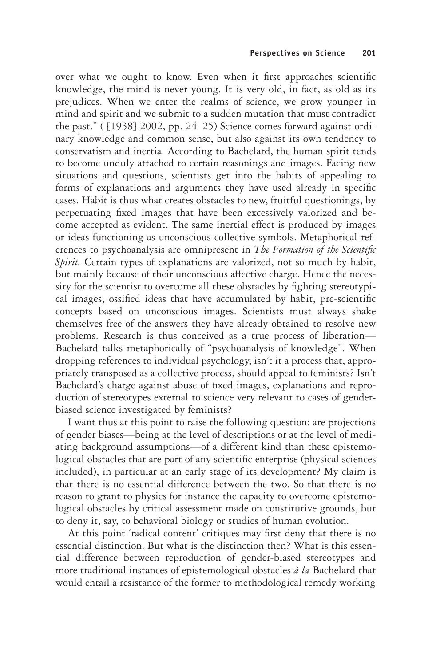over what we ought to know. Even when it first approaches scientific knowledge, the mind is never young. It is very old, in fact, as old as its prejudices. When we enter the realms of science, we grow younger in mind and spirit and we submit to a sudden mutation that must contradict the past." ( [1938] 2002, pp. 24–25) Science comes forward against ordinary knowledge and common sense, but also against its own tendency to conservatism and inertia. According to Bachelard, the human spirit tends to become unduly attached to certain reasonings and images. Facing new situations and questions, scientists get into the habits of appealing to forms of explanations and arguments they have used already in specific cases. Habit is thus what creates obstacles to new, fruitful questionings, by perpetuating fixed images that have been excessively valorized and become accepted as evident. The same inertial effect is produced by images or ideas functioning as unconscious collective symbols. Metaphorical references to psychoanalysis are omnipresent in *The Formation of the Scientific Spirit.* Certain types of explanations are valorized, not so much by habit, but mainly because of their unconscious affective charge. Hence the necessity for the scientist to overcome all these obstacles by fighting stereotypical images, ossified ideas that have accumulated by habit, pre-scientific concepts based on unconscious images. Scientists must always shake themselves free of the answers they have already obtained to resolve new problems. Research is thus conceived as a true process of liberation— Bachelard talks metaphorically of "psychoanalysis of knowledge". When dropping references to individual psychology, isn't it a process that, appropriately transposed as a collective process, should appeal to feminists? Isn't Bachelard's charge against abuse of fixed images, explanations and reproduction of stereotypes external to science very relevant to cases of genderbiased science investigated by feminists?

I want thus at this point to raise the following question: are projections of gender biases—being at the level of descriptions or at the level of mediating background assumptions—of a different kind than these epistemological obstacles that are part of any scientific enterprise (physical sciences included), in particular at an early stage of its development? My claim is that there is no essential difference between the two. So that there is no reason to grant to physics for instance the capacity to overcome epistemological obstacles by critical assessment made on constitutive grounds, but to deny it, say, to behavioral biology or studies of human evolution.

At this point 'radical content' critiques may first deny that there is no essential distinction. But what is the distinction then? What is this essential difference between reproduction of gender-biased stereotypes and more traditional instances of epistemological obstacles *à la* Bachelard that would entail a resistance of the former to methodological remedy working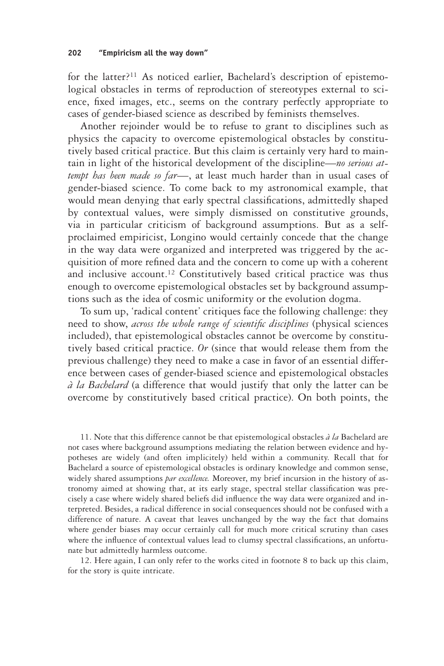for the latter?11 As noticed earlier, Bachelard's description of epistemological obstacles in terms of reproduction of stereotypes external to science, fixed images, etc., seems on the contrary perfectly appropriate to cases of gender-biased science as described by feminists themselves.

Another rejoinder would be to refuse to grant to disciplines such as physics the capacity to overcome epistemological obstacles by constitutively based critical practice. But this claim is certainly very hard to maintain in light of the historical development of the discipline—*no serious attempt has been made so far*—, at least much harder than in usual cases of gender-biased science. To come back to my astronomical example, that would mean denying that early spectral classifications, admittedly shaped by contextual values, were simply dismissed on constitutive grounds, via in particular criticism of background assumptions. But as a selfproclaimed empiricist, Longino would certainly concede that the change in the way data were organized and interpreted was triggered by the acquisition of more refined data and the concern to come up with a coherent and inclusive account.<sup>12</sup> Constitutively based critical practice was thus enough to overcome epistemological obstacles set by background assumptions such as the idea of cosmic uniformity or the evolution dogma.

To sum up, 'radical content' critiques face the following challenge: they need to show, *across the whole range of scientific disciplines* (physical sciences included), that epistemological obstacles cannot be overcome by constitutively based critical practice. *Or* (since that would release them from the previous challenge) they need to make a case in favor of an essential difference between cases of gender-biased science and epistemological obstacles *à la Bachelard* (a difference that would justify that only the latter can be overcome by constitutively based critical practice). On both points, the

11. Note that this difference cannot be that epistemological obstacles *à la* Bachelard are not cases where background assumptions mediating the relation between evidence and hypotheses are widely (and often implicitely) held within a community. Recall that for Bachelard a source of epistemological obstacles is ordinary knowledge and common sense, widely shared assumptions *par excellence.* Moreover, my brief incursion in the history of astronomy aimed at showing that, at its early stage, spectral stellar classification was precisely a case where widely shared beliefs did influence the way data were organized and interpreted. Besides, a radical difference in social consequences should not be confused with a difference of nature. A caveat that leaves unchanged by the way the fact that domains where gender biases may occur certainly call for much more critical scrutiny than cases where the influence of contextual values lead to clumsy spectral classifications, an unfortunate but admittedly harmless outcome.

12. Here again, I can only refer to the works cited in footnote 8 to back up this claim, for the story is quite intricate.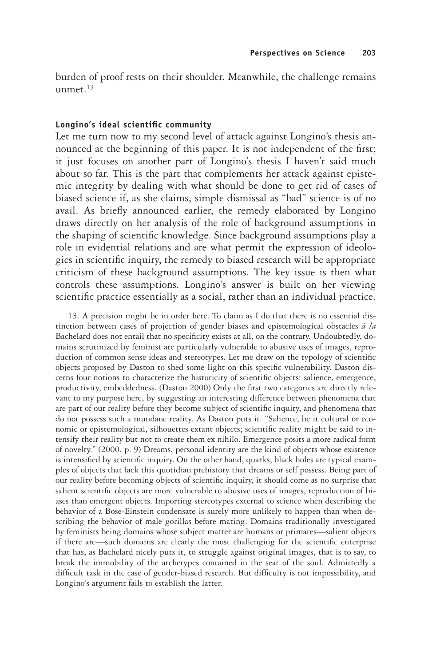burden of proof rests on their shoulder. Meanwhile, the challenge remains unmer. $13$ 

#### Longino's ideal scientific community

Let me turn now to my second level of attack against Longino's thesis announced at the beginning of this paper. It is not independent of the first; it just focuses on another part of Longino's thesis I haven't said much about so far. This is the part that complements her attack against epistemic integrity by dealing with what should be done to get rid of cases of biased science if, as she claims, simple dismissal as "bad" science is of no avail. As briefly announced earlier, the remedy elaborated by Longino draws directly on her analysis of the role of background assumptions in the shaping of scientific knowledge. Since background assumptions play a role in evidential relations and are what permit the expression of ideologies in scientific inquiry, the remedy to biased research will be appropriate criticism of these background assumptions. The key issue is then what controls these assumptions. Longino's answer is built on her viewing scientific practice essentially as a social, rather than an individual practice.

13. A precision might be in order here. To claim as I do that there is no essential distinction between cases of projection of gender biases and epistemological obstacles *à la* Bachelard does not entail that no specificity exists at all, on the contrary. Undoubtedly, domains scrutinized by feminist are particularly vulnerable to abusive uses of images, reproduction of common sense ideas and stereotypes. Let me draw on the typology of scientific objects proposed by Daston to shed some light on this specific vulnerability. Daston discerns four notions to characterize the historicity of scientific objects: salience, emergence, productivity, embeddedness. (Daston 2000) Only the first two categories are directly relevant to my purpose here, by suggesting an interesting difference between phenomena that are part of our reality before they become subject of scientific inquiry, and phenomena that do not possess such a mundane reality. As Daston puts it: "Salience, be it cultural or economic or epistemological, silhouettes extant objects; scientific reality might be said to intensify their reality but not to create them ex nihilo. Emergence posits a more radical form of novelty." (2000, p. 9) Dreams, personal identity are the kind of objects whose existence is intensified by scientific inquiry. On the other hand, quarks, black holes are typical examples of objects that lack this quotidian prehistory that dreams or self possess. Being part of our reality before becoming objects of scientific inquiry, it should come as no surprise that salient scientific objects are more vulnerable to abusive uses of images, reproduction of biases than emergent objects. Importing stereotypes external to science when describing the behavior of a Bose-Einstein condensate is surely more unlikely to happen than when describing the behavior of male gorillas before mating. Domains traditionally investigated by feminists being domains whose subject matter are humans or primates—salient objects if there are—such domains are clearly the most challenging for the scientific enterprise that has, as Bachelard nicely puts it, to struggle against original images, that is to say, to break the immobility of the archetypes contained in the seat of the soul. Admittedly a difficult task in the case of gender-biased research. But difficulty is not impossibility, and Longino's argument fails to establish the latter.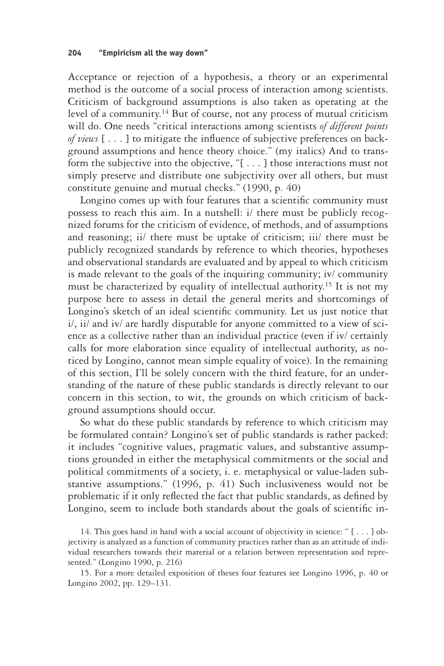Acceptance or rejection of a hypothesis, a theory or an experimental method is the outcome of a social process of interaction among scientists. Criticism of background assumptions is also taken as operating at the level of a community.14 But of course, not any process of mutual criticism will do. One needs "critical interactions among scientists *of different points of views* [...] to mitigate the influence of subjective preferences on background assumptions and hence theory choice." (my italics) And to transform the subjective into the objective, "[...] those interactions must not simply preserve and distribute one subjectivity over all others, but must constitute genuine and mutual checks." (1990, p. 40)

Longino comes up with four features that a scientific community must possess to reach this aim. In a nutshell: i/ there must be publicly recognized forums for the criticism of evidence, of methods, and of assumptions and reasoning; ii/ there must be uptake of criticism; iii/ there must be publicly recognized standards by reference to which theories, hypotheses and observational standards are evaluated and by appeal to which criticism is made relevant to the goals of the inquiring community; iv/ community must be characterized by equality of intellectual authority.15 It is not my purpose here to assess in detail the general merits and shortcomings of Longino's sketch of an ideal scientific community. Let us just notice that i/, ii/ and iv/ are hardly disputable for anyone committed to a view of science as a collective rather than an individual practice (even if iv/ certainly calls for more elaboration since equality of intellectual authority, as noticed by Longino, cannot mean simple equality of voice). In the remaining of this section, I'll be solely concern with the third feature, for an understanding of the nature of these public standards is directly relevant to our concern in this section, to wit, the grounds on which criticism of background assumptions should occur.

So what do these public standards by reference to which criticism may be formulated contain? Longino's set of public standards is rather packed: it includes "cognitive values, pragmatic values, and substantive assumptions grounded in either the metaphysical commitments or the social and political commitments of a society, i. e. metaphysical or value-laden substantive assumptions." (1996, p. 41) Such inclusiveness would not be problematic if it only reflected the fact that public standards, as defined by Longino, seem to include both standards about the goals of scientific in-

14. This goes hand in hand with a social account of objectivity in science: " [ . . . ] objectivity is analyzed as a function of community practices rather than as an attitude of individual researchers towards their material or a relation between representation and represented." (Longino 1990, p. 216)

15. For a more detailed exposition of theses four features see Longino 1996, p. 40 or Longino 2002, pp. 129–131.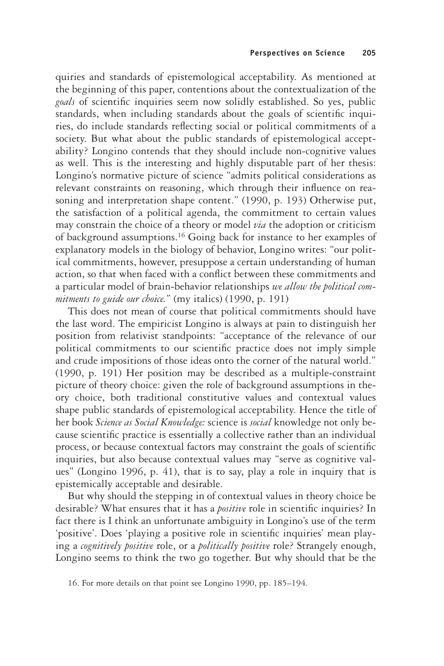quiries and standards of epistemological acceptability. As mentioned at the beginning of this paper, contentions about the contextualization of the goals of scientific inquiries seem now solidly established. So yes, public standards, when including standards about the goals of scientific inquiries, do include standards reflecting social or political commitments of a society. But what about the public standards of epistemological acceptability? Longino contends that they should include non-cognitive values as well. This is the interesting and highly disputable part of her thesis: Longino's normative picture of science "admits political considerations as relevant constraints on reasoning, which through their influence on reasoning and interpretation shape content." (1990, p. 193) Otherwise put, the satisfaction of a political agenda, the commitment to certain values may constrain the choice of a theory or model *via* the adoption or criticism of background assumptions.16 Going back for instance to her examples of explanatory models in the biology of behavior, Longino writes: "our political commitments, however, presuppose a certain understanding of human action, so that when faced with a conflict between these commitments and a particular model of brain-behavior relationships *we allow the political commitments to guide our choice.*" (my italics) (1990, p. 191)

This does not mean of course that political commitments should have the last word. The empiricist Longino is always at pain to distinguish her position from relativist standpoints: "acceptance of the relevance of our political commitments to our scientific practice does not imply simple and crude impositions of those ideas onto the corner of the natural world." (1990, p. 191) Her position may be described as a multiple-constraint picture of theory choice: given the role of background assumptions in theory choice, both traditional constitutive values and contextual values shape public standards of epistemological acceptability. Hence the title of her book *Science as Social Knowledge:* science is *social* knowledge not only because scientific practice is essentially a collective rather than an individual process, or because contextual factors may constraint the goals of scientific inquiries, but also because contextual values may "serve as cognitive values" (Longino 1996, p. 41), that is to say, play a role in inquiry that is epistemically acceptable and desirable.

But why should the stepping in of contextual values in theory choice be desirable? What ensures that it has a *positive* role in scientific inquiries? In fact there is I think an unfortunate ambiguity in Longino's use of the term 'positive'. Does 'playing a positive role in scientific inquiries' mean playing a *cognitively positive* role, or a *politically positive* role? Strangely enough, Longino seems to think the two go together. But why should that be the

<sup>16.</sup> For more details on that point see Longino 1990, pp. 185–194.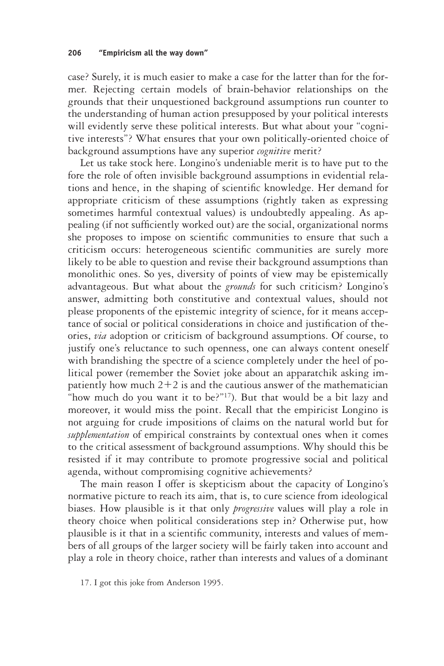case? Surely, it is much easier to make a case for the latter than for the former. Rejecting certain models of brain-behavior relationships on the grounds that their unquestioned background assumptions run counter to the understanding of human action presupposed by your political interests will evidently serve these political interests. But what about your "cognitive interests"? What ensures that your own politically-oriented choice of background assumptions have any superior *cognitive* merit?

Let us take stock here. Longino's undeniable merit is to have put to the fore the role of often invisible background assumptions in evidential relations and hence, in the shaping of scientific knowledge. Her demand for appropriate criticism of these assumptions (rightly taken as expressing sometimes harmful contextual values) is undoubtedly appealing. As appealing (if not sufficiently worked out) are the social, organizational norms she proposes to impose on scientific communities to ensure that such a criticism occurs: heterogeneous scientific communities are surely more likely to be able to question and revise their background assumptions than monolithic ones. So yes, diversity of points of view may be epistemically advantageous. But what about the *grounds* for such criticism? Longino's answer, admitting both constitutive and contextual values, should not please proponents of the epistemic integrity of science, for it means acceptance of social or political considerations in choice and justification of theories, *via* adoption or criticism of background assumptions. Of course, to justify one's reluctance to such openness, one can always content oneself with brandishing the spectre of a science completely under the heel of political power (remember the Soviet joke about an apparatchik asking impatiently how much  $2+2$  is and the cautious answer of the mathematician "how much do you want it to be?"<sup>17</sup>). But that would be a bit lazy and moreover, it would miss the point. Recall that the empiricist Longino is not arguing for crude impositions of claims on the natural world but for *supplementation* of empirical constraints by contextual ones when it comes to the critical assessment of background assumptions. Why should this be resisted if it may contribute to promote progressive social and political agenda, without compromising cognitive achievements?

The main reason I offer is skepticism about the capacity of Longino's normative picture to reach its aim, that is, to cure science from ideological biases. How plausible is it that only *progressive* values will play a role in theory choice when political considerations step in? Otherwise put, how plausible is it that in a scientific community, interests and values of members of all groups of the larger society will be fairly taken into account and play a role in theory choice, rather than interests and values of a dominant

<sup>17.</sup> I got this joke from Anderson 1995.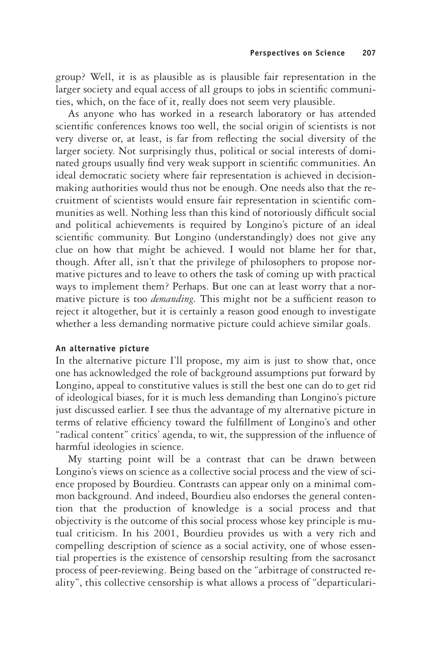group? Well, it is as plausible as is plausible fair representation in the larger society and equal access of all groups to jobs in scientific communities, which, on the face of it, really does not seem very plausible.

As anyone who has worked in a research laboratory or has attended scientific conferences knows too well, the social origin of scientists is not very diverse or, at least, is far from reflecting the social diversity of the larger society. Not surprisingly thus, political or social interests of dominated groups usually find very weak support in scientific communities. An ideal democratic society where fair representation is achieved in decisionmaking authorities would thus not be enough. One needs also that the recruitment of scientists would ensure fair representation in scientific communities as well. Nothing less than this kind of notoriously difficult social and political achievements is required by Longino's picture of an ideal scientific community. But Longino (understandingly) does not give any clue on how that might be achieved. I would not blame her for that, though. After all, isn't that the privilege of philosophers to propose normative pictures and to leave to others the task of coming up with practical ways to implement them? Perhaps. But one can at least worry that a normative picture is too *demanding*. This might not be a sufficient reason to reject it altogether, but it is certainly a reason good enough to investigate whether a less demanding normative picture could achieve similar goals.

#### **An alternative picture**

In the alternative picture I'll propose, my aim is just to show that, once one has acknowledged the role of background assumptions put forward by Longino, appeal to constitutive values is still the best one can do to get rid of ideological biases, for it is much less demanding than Longino's picture just discussed earlier. I see thus the advantage of my alternative picture in terms of relative efficiency toward the fulfillment of Longino's and other "radical content" critics' agenda, to wit, the suppression of the influence of harmful ideologies in science.

My starting point will be a contrast that can be drawn between Longino's views on science as a collective social process and the view of science proposed by Bourdieu. Contrasts can appear only on a minimal common background. And indeed, Bourdieu also endorses the general contention that the production of knowledge is a social process and that objectivity is the outcome of this social process whose key principle is mutual criticism. In his 2001, Bourdieu provides us with a very rich and compelling description of science as a social activity, one of whose essential properties is the existence of censorship resulting from the sacrosanct process of peer-reviewing. Being based on the "arbitrage of constructed reality", this collective censorship is what allows a process of "departiculari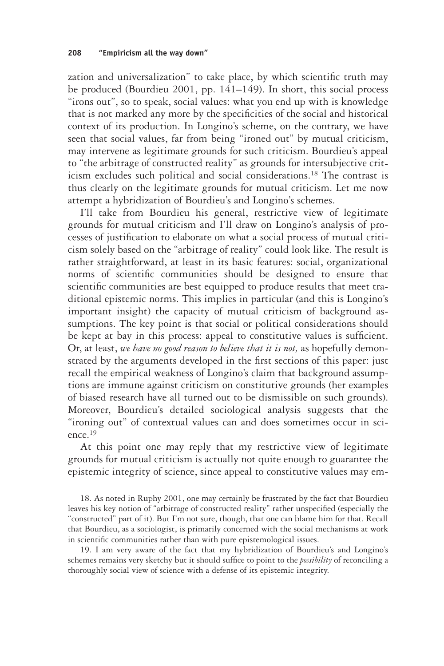zation and universalization" to take place, by which scientific truth may be produced (Bourdieu 2001, pp.  $141-149$ ). In short, this social process "irons out", so to speak, social values: what you end up with is knowledge that is not marked any more by the specificities of the social and historical context of its production. In Longino's scheme, on the contrary, we have seen that social values, far from being "ironed out" by mutual criticism, may intervene as legitimate grounds for such criticism. Bourdieu's appeal to "the arbitrage of constructed reality" as grounds for intersubjective criticism excludes such political and social considerations.18 The contrast is thus clearly on the legitimate grounds for mutual criticism. Let me now attempt a hybridization of Bourdieu's and Longino's schemes.

I'll take from Bourdieu his general, restrictive view of legitimate grounds for mutual criticism and I'll draw on Longino's analysis of processes of justification to elaborate on what a social process of mutual criticism solely based on the "arbitrage of reality" could look like. The result is rather straightforward, at least in its basic features: social, organizational norms of scientific communities should be designed to ensure that scientific communities are best equipped to produce results that meet traditional epistemic norms. This implies in particular (and this is Longino's important insight) the capacity of mutual criticism of background assumptions. The key point is that social or political considerations should be kept at bay in this process: appeal to constitutive values is sufficient. Or, at least, *we have no good reason to believe that it is not,* as hopefully demonstrated by the arguments developed in the first sections of this paper: just recall the empirical weakness of Longino's claim that background assumptions are immune against criticism on constitutive grounds (her examples of biased research have all turned out to be dismissible on such grounds). Moreover, Bourdieu's detailed sociological analysis suggests that the "ironing out" of contextual values can and does sometimes occur in science.19

At this point one may reply that my restrictive view of legitimate grounds for mutual criticism is actually not quite enough to guarantee the epistemic integrity of science, since appeal to constitutive values may em-

18. As noted in Ruphy 2001, one may certainly be frustrated by the fact that Bourdieu leaves his key notion of "arbitrage of constructed reality" rather unspecified (especially the "constructed" part of it). But I'm not sure, though, that one can blame him for that. Recall that Bourdieu, as a sociologist, is primarily concerned with the social mechanisms at work in scientific communities rather than with pure epistemological issues.

19. I am very aware of the fact that my hybridization of Bourdieu's and Longino's schemes remains very sketchy but it should suffice to point to the *possibility* of reconciling a thoroughly social view of science with a defense of its epistemic integrity.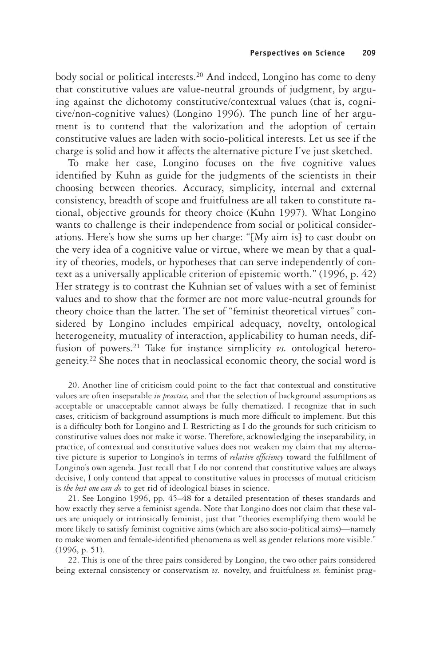body social or political interests.<sup>20</sup> And indeed, Longino has come to deny that constitutive values are value-neutral grounds of judgment, by arguing against the dichotomy constitutive/contextual values (that is, cognitive/non-cognitive values) (Longino 1996). The punch line of her argument is to contend that the valorization and the adoption of certain constitutive values are laden with socio-political interests. Let us see if the charge is solid and how it affects the alternative picture I've just sketched.

To make her case, Longino focuses on the five cognitive values identified by Kuhn as guide for the judgments of the scientists in their choosing between theories. Accuracy, simplicity, internal and external consistency, breadth of scope and fruitfulness are all taken to constitute rational, objective grounds for theory choice (Kuhn 1997). What Longino wants to challenge is their independence from social or political considerations. Here's how she sums up her charge: "[My aim is] to cast doubt on the very idea of a cognitive value or virtue, where we mean by that a quality of theories, models, or hypotheses that can serve independently of context as a universally applicable criterion of epistemic worth." (1996, p. 42) Her strategy is to contrast the Kuhnian set of values with a set of feminist values and to show that the former are not more value-neutral grounds for theory choice than the latter. The set of "feminist theoretical virtues" considered by Longino includes empirical adequacy, novelty, ontological heterogeneity, mutuality of interaction, applicability to human needs, diffusion of powers.<sup>21</sup> Take for instance simplicity  $\ell$  *vs.* ontological heterogeneity.22 She notes that in neoclassical economic theory, the social word is

20. Another line of criticism could point to the fact that contextual and constitutive values are often inseparable *in practice,* and that the selection of background assumptions as acceptable or unacceptable cannot always be fully thematized. I recognize that in such cases, criticism of background assumptions is much more difficult to implement. But this is a difficulty both for Longino and I. Restricting as I do the grounds for such criticism to constitutive values does not make it worse. Therefore, acknowledging the inseparability, in practice, of contextual and constitutive values does not weaken my claim that my alternative picture is superior to Longino's in terms of *relative efficiency* toward the fulfillment of Longino's own agenda. Just recall that I do not contend that constitutive values are always decisive, I only contend that appeal to constitutive values in processes of mutual criticism is *the best one can do* to get rid of ideological biases in science.

21. See Longino 1996, pp. 45–48 for a detailed presentation of theses standards and how exactly they serve a feminist agenda. Note that Longino does not claim that these values are uniquely or intrinsically feminist, just that "theories exemplifying them would be more likely to satisfy feminist cognitive aims (which are also socio-political aims)—namely to make women and female-identified phenomena as well as gender relations more visible." (1996, p. 51).

22. This is one of the three pairs considered by Longino, the two other pairs considered being external consistency or conservatism *vs.* novelty, and fruitfulness *vs.* feminist prag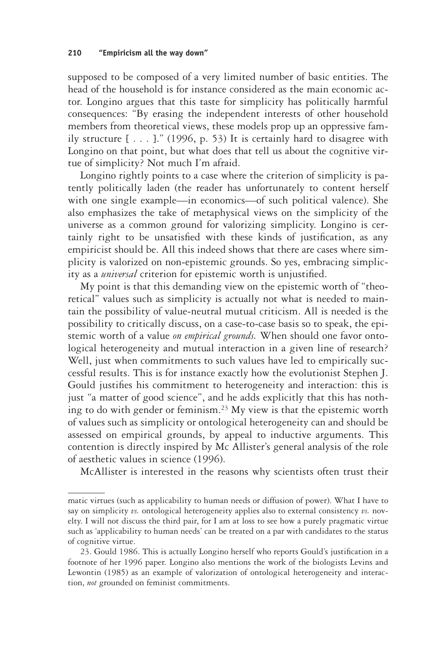supposed to be composed of a very limited number of basic entities. The head of the household is for instance considered as the main economic actor. Longino argues that this taste for simplicity has politically harmful consequences: "By erasing the independent interests of other household members from theoretical views, these models prop up an oppressive family structure  $[ \dots ]$ ." (1996, p. 53) It is certainly hard to disagree with Longino on that point, but what does that tell us about the cognitive virtue of simplicity? Not much I'm afraid.

Longino rightly points to a case where the criterion of simplicity is patently politically laden (the reader has unfortunately to content herself with one single example—in economics—of such political valence). She also emphasizes the take of metaphysical views on the simplicity of the universe as a common ground for valorizing simplicity. Longino is certainly right to be unsatisfied with these kinds of justification, as any empiricist should be. All this indeed shows that there are cases where simplicity is valorized on non-epistemic grounds. So yes, embracing simplicity as a *universal* criterion for epistemic worth is unjustified.

My point is that this demanding view on the epistemic worth of "theoretical" values such as simplicity is actually not what is needed to maintain the possibility of value-neutral mutual criticism. All is needed is the possibility to critically discuss, on a case-to-case basis so to speak, the epistemic worth of a value *on empirical grounds.* When should one favor ontological heterogeneity and mutual interaction in a given line of research? Well, just when commitments to such values have led to empirically successful results. This is for instance exactly how the evolutionist Stephen J. Gould justifies his commitment to heterogeneity and interaction: this is just "a matter of good science", and he adds explicitly that this has nothing to do with gender or feminism.23 My view is that the epistemic worth of values such as simplicity or ontological heterogeneity can and should be assessed on empirical grounds, by appeal to inductive arguments. This contention is directly inspired by Mc Allister's general analysis of the role of aesthetic values in science (1996).

McAllister is interested in the reasons why scientists often trust their

matic virtues (such as applicability to human needs or diffusion of power). What I have to say on simplicity *vs.* ontological heterogeneity applies also to external consistency *vs.* novelty. I will not discuss the third pair, for I am at loss to see how a purely pragmatic virtue such as 'applicability to human needs' can be treated on a par with candidates to the status of cognitive virtue.

<sup>23.</sup> Gould 1986. This is actually Longino herself who reports Gould's justification in a footnote of her 1996 paper. Longino also mentions the work of the biologists Levins and Lewontin (1985) as an example of valorization of ontological heterogeneity and interaction, *not* grounded on feminist commitments.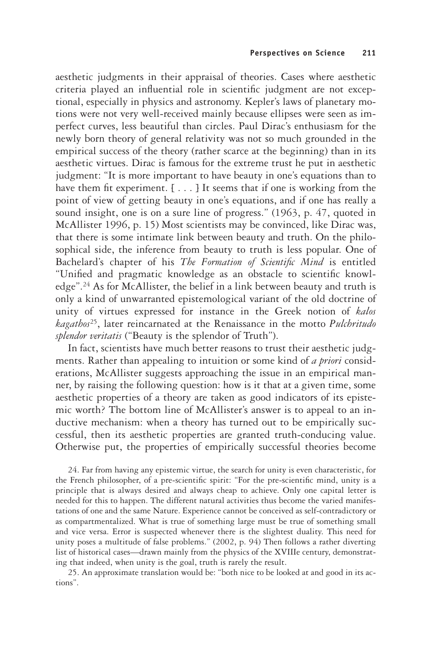aesthetic judgments in their appraisal of theories. Cases where aesthetic criteria played an influential role in scientific judgment are not exceptional, especially in physics and astronomy. Kepler's laws of planetary motions were not very well-received mainly because ellipses were seen as imperfect curves, less beautiful than circles. Paul Dirac's enthusiasm for the newly born theory of general relativity was not so much grounded in the empirical success of the theory (rather scarce at the beginning) than in its aesthetic virtues. Dirac is famous for the extreme trust he put in aesthetic judgment: "It is more important to have beauty in one's equations than to have them fit experiment.  $[ \dots ]$  It seems that if one is working from the point of view of getting beauty in one's equations, and if one has really a sound insight, one is on a sure line of progress." (1963, p. 47, quoted in McAllister 1996, p. 15) Most scientists may be convinced, like Dirac was, that there is some intimate link between beauty and truth. On the philosophical side, the inference from beauty to truth is less popular. One of Bachelard's chapter of his *The Formation of Scientific Mind* is entitled "Unified and pragmatic knowledge as an obstacle to scientific knowledge".24 As for McAllister, the belief in a link between beauty and truth is only a kind of unwarranted epistemological variant of the old doctrine of unity of virtues expressed for instance in the Greek notion of *kalos kagathos*25, later reincarnated at the Renaissance in the motto *Pulchritudo splendor veritatis* ("Beauty is the splendor of Truth").

In fact, scientists have much better reasons to trust their aesthetic judgments. Rather than appealing to intuition or some kind of *a priori* considerations, McAllister suggests approaching the issue in an empirical manner, by raising the following question: how is it that at a given time, some aesthetic properties of a theory are taken as good indicators of its epistemic worth? The bottom line of McAllister's answer is to appeal to an inductive mechanism: when a theory has turned out to be empirically successful, then its aesthetic properties are granted truth-conducing value. Otherwise put, the properties of empirically successful theories become

24. Far from having any epistemic virtue, the search for unity is even characteristic, for the French philosopher, of a pre-scientific spirit: "For the pre-scientific mind, unity is a principle that is always desired and always cheap to achieve. Only one capital letter is needed for this to happen. The different natural activities thus become the varied manifestations of one and the same Nature. Experience cannot be conceived as self-contradictory or as compartmentalized. What is true of something large must be true of something small and vice versa. Error is suspected whenever there is the slightest duality. This need for unity poses a multitude of false problems." (2002, p. 94) Then follows a rather diverting list of historical cases—drawn mainly from the physics of the XVIIIe century, demonstrating that indeed, when unity is the goal, truth is rarely the result.

25. An approximate translation would be: "both nice to be looked at and good in its actions".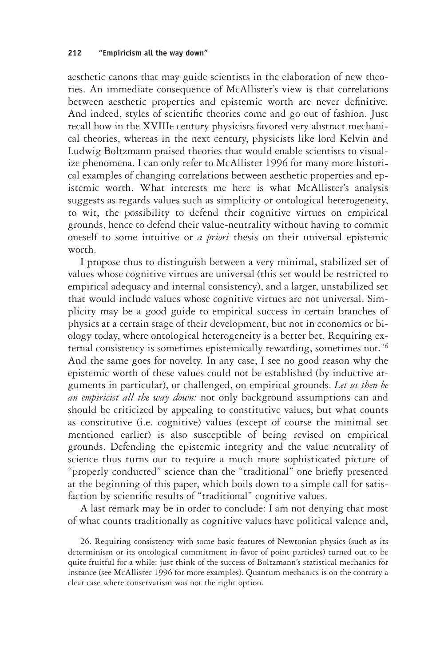aesthetic canons that may guide scientists in the elaboration of new theories. An immediate consequence of McAllister's view is that correlations between aesthetic properties and epistemic worth are never definitive. And indeed, styles of scientific theories come and go out of fashion. Just recall how in the XVIIIe century physicists favored very abstract mechanical theories, whereas in the next century, physicists like lord Kelvin and Ludwig Boltzmann praised theories that would enable scientists to visualize phenomena. I can only refer to McAllister 1996 for many more historical examples of changing correlations between aesthetic properties and epistemic worth. What interests me here is what McAllister's analysis suggests as regards values such as simplicity or ontological heterogeneity, to wit, the possibility to defend their cognitive virtues on empirical grounds, hence to defend their value-neutrality without having to commit oneself to some intuitive or *a priori* thesis on their universal epistemic worth.

I propose thus to distinguish between a very minimal, stabilized set of values whose cognitive virtues are universal (this set would be restricted to empirical adequacy and internal consistency), and a larger, unstabilized set that would include values whose cognitive virtues are not universal. Simplicity may be a good guide to empirical success in certain branches of physics at a certain stage of their development, but not in economics or biology today, where ontological heterogeneity is a better bet. Requiring external consistency is sometimes epistemically rewarding, sometimes not.26 And the same goes for novelty. In any case, I see no good reason why the epistemic worth of these values could not be established (by inductive arguments in particular), or challenged, on empirical grounds. *Let us then be an empiricist all the way down:* not only background assumptions can and should be criticized by appealing to constitutive values, but what counts as constitutive (i.e. cognitive) values (except of course the minimal set mentioned earlier) is also susceptible of being revised on empirical grounds. Defending the epistemic integrity and the value neutrality of science thus turns out to require a much more sophisticated picture of "properly conducted" science than the "traditional" one briefly presented at the beginning of this paper, which boils down to a simple call for satisfaction by scientific results of "traditional" cognitive values.

A last remark may be in order to conclude: I am not denying that most of what counts traditionally as cognitive values have political valence and,

26. Requiring consistency with some basic features of Newtonian physics (such as its determinism or its ontological commitment in favor of point particles) turned out to be quite fruitful for a while: just think of the success of Boltzmann's statistical mechanics for instance (see McAllister 1996 for more examples). Quantum mechanics is on the contrary a clear case where conservatism was not the right option.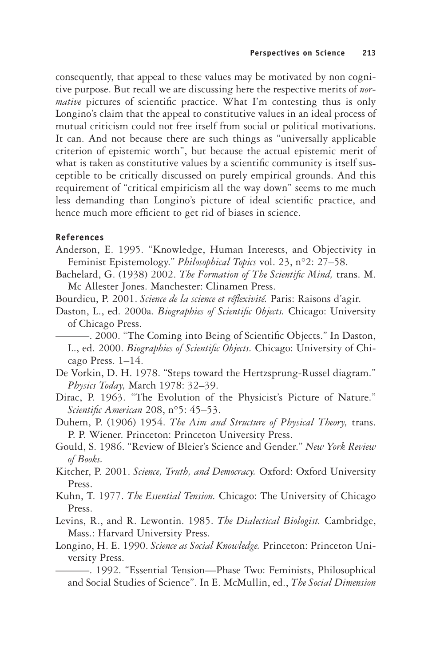consequently, that appeal to these values may be motivated by non cognitive purpose. But recall we are discussing here the respective merits of *normative* pictures of scientific practice. What I'm contesting thus is only Longino's claim that the appeal to constitutive values in an ideal process of mutual criticism could not free itself from social or political motivations. It can. And not because there are such things as "universally applicable criterion of epistemic worth", but because the actual epistemic merit of what is taken as constitutive values by a scientific community is itself susceptible to be critically discussed on purely empirical grounds. And this requirement of "critical empiricism all the way down" seems to me much less demanding than Longino's picture of ideal scientific practice, and hence much more efficient to get rid of biases in science.

## **References**

- Anderson, E. 1995. "Knowledge, Human Interests, and Objectivity in Feminist Epistemology." *Philosophical Topics* vol. 23, n°2: 27–58.
- Bachelard, G. (1938) 2002. *The Formation of The Scientific Mind*, trans. M. Mc Allester Jones. Manchester: Clinamen Press.
- Bourdieu, P. 2001. *Science de la science et réflexivité*. Paris: Raisons d'agir.
- Daston, L., ed. 2000a. *Biographies of Scientific Objects.* Chicago: University of Chicago Press.

——. 2000. "The Coming into Being of Scientific Objects." In Daston, L., ed. 2000. *Biographies of Scientific Objects*. Chicago: University of Chicago Press. 1–14.

- De Vorkin, D. H. 1978. "Steps toward the Hertzsprung-Russel diagram." *Physics Today,* March 1978: 32–39.
- Dirac, P. 1963. "The Evolution of the Physicist's Picture of Nature." *Scientific American* 208, n°5: 45–53.
- Duhem, P. (1906) 1954. *The Aim and Structure of Physical Theory,* trans. P. P. Wiener. Princeton: Princeton University Press.
- Gould, S. 1986. "Review of Bleier's Science and Gender." *New York Review of Books.*
- Kitcher, P. 2001. *Science, Truth, and Democracy.* Oxford: Oxford University Press.
- Kuhn, T. 1977. *The Essential Tension.* Chicago: The University of Chicago Press.
- Levins, R., and R. Lewontin. 1985. *The Dialectical Biologist.* Cambridge, Mass.: Harvard University Press.
- Longino, H. E. 1990. *Science as Social Knowledge.* Princeton: Princeton University Press.
	- ———. 1992. "Essential Tension—Phase Two: Feminists, Philosophical and Social Studies of Science". In E. McMullin, ed., *The Social Dimension*